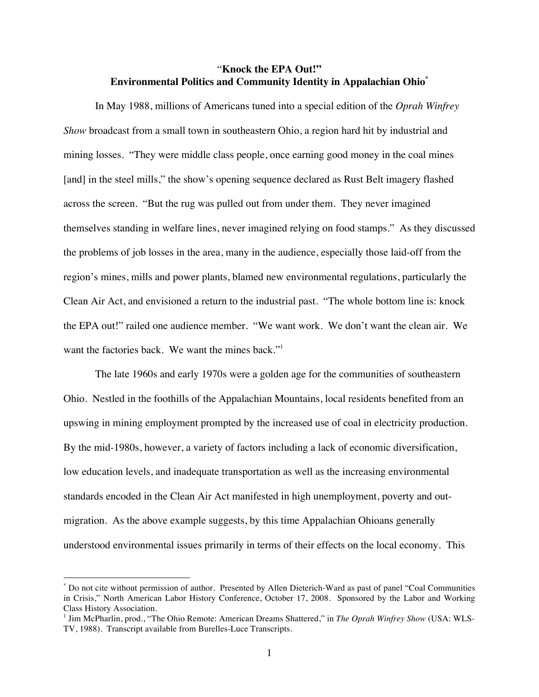# "**Knock the EPA Out!" Environmental Politics and Community Identity in Appalachian Ohio\***

In May 1988, millions of Americans tuned into a special edition of the *Oprah Winfrey Show* broadcast from a small town in southeastern Ohio, a region hard hit by industrial and mining losses. "They were middle class people, once earning good money in the coal mines [and] in the steel mills," the show's opening sequence declared as Rust Belt imagery flashed across the screen. "But the rug was pulled out from under them. They never imagined themselves standing in welfare lines, never imagined relying on food stamps." As they discussed the problems of job losses in the area, many in the audience, especially those laid-off from the region's mines, mills and power plants, blamed new environmental regulations, particularly the Clean Air Act, and envisioned a return to the industrial past. "The whole bottom line is: knock the EPA out!" railed one audience member. "We want work. We don't want the clean air. We want the factories back. We want the mines back."<sup>1</sup>

The late 1960s and early 1970s were a golden age for the communities of southeastern Ohio. Nestled in the foothills of the Appalachian Mountains, local residents benefited from an upswing in mining employment prompted by the increased use of coal in electricity production. By the mid-1980s, however, a variety of factors including a lack of economic diversification, low education levels, and inadequate transportation as well as the increasing environmental standards encoded in the Clean Air Act manifested in high unemployment, poverty and outmigration. As the above example suggests, by this time Appalachian Ohioans generally understood environmental issues primarily in terms of their effects on the local economy. This

 <sup>\*</sup> Do not cite without permission of author. Presented by Allen Dieterich-Ward as past of panel "Coal Communities in Crisis," North American Labor History Conference, October 17, 2008. Sponsored by the Labor and Working Class History Association.

<sup>&</sup>lt;sup>1</sup> Jim McPharlin, prod., "The Ohio Remote: American Dreams Shattered," in *The Oprah Winfrey Show* (USA: WLS-TV, 1988). Transcript available from Burelles-Luce Transcripts.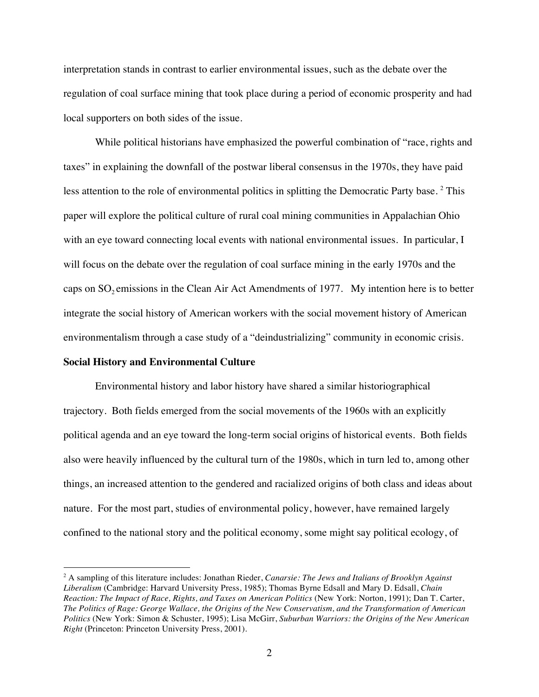interpretation stands in contrast to earlier environmental issues, such as the debate over the regulation of coal surface mining that took place during a period of economic prosperity and had local supporters on both sides of the issue.

While political historians have emphasized the powerful combination of "race, rights and taxes" in explaining the downfall of the postwar liberal consensus in the 1970s, they have paid less attention to the role of environmental politics in splitting the Democratic Party base.<sup>2</sup> This paper will explore the political culture of rural coal mining communities in Appalachian Ohio with an eye toward connecting local events with national environmental issues. In particular, I will focus on the debate over the regulation of coal surface mining in the early 1970s and the caps on  $SO_2$  emissions in the Clean Air Act Amendments of 1977. My intention here is to better integrate the social history of American workers with the social movement history of American environmentalism through a case study of a "deindustrializing" community in economic crisis.

#### **Social History and Environmental Culture**

Environmental history and labor history have shared a similar historiographical trajectory. Both fields emerged from the social movements of the 1960s with an explicitly political agenda and an eye toward the long-term social origins of historical events. Both fields also were heavily influenced by the cultural turn of the 1980s, which in turn led to, among other things, an increased attention to the gendered and racialized origins of both class and ideas about nature. For the most part, studies of environmental policy, however, have remained largely confined to the national story and the political economy, some might say political ecology, of

 $\frac{1}{2}$  A sampling of this literature includes: Jonathan Rieder, *Canarsie: The Jews and Italians of Brooklyn Against Liberalism* (Cambridge: Harvard University Press, 1985); Thomas Byrne Edsall and Mary D. Edsall, *Chain Reaction: The Impact of Race, Rights, and Taxes on American Politics* (New York: Norton, 1991); Dan T. Carter, *The Politics of Rage: George Wallace, the Origins of the New Conservatism, and the Transformation of American Politics* (New York: Simon & Schuster, 1995); Lisa McGirr, *Suburban Warriors: the Origins of the New American Right* (Princeton: Princeton University Press, 2001).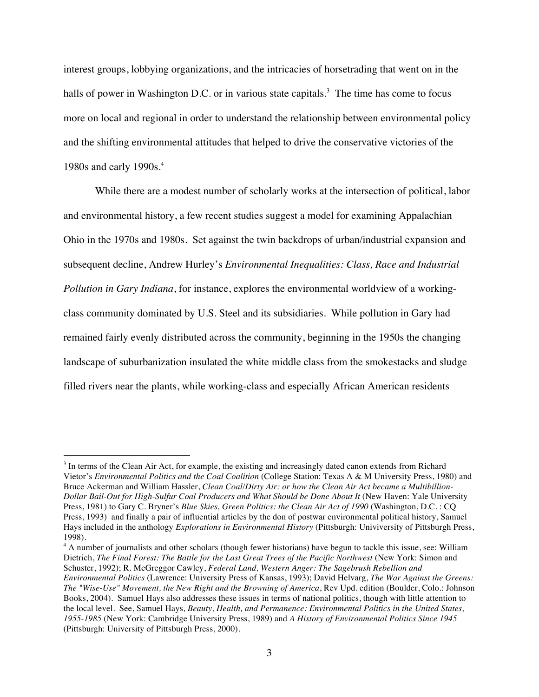interest groups, lobbying organizations, and the intricacies of horsetrading that went on in the halls of power in Washington D.C. or in various state capitals.<sup>3</sup> The time has come to focus more on local and regional in order to understand the relationship between environmental policy and the shifting environmental attitudes that helped to drive the conservative victories of the 1980s and early 1990s.<sup>4</sup>

While there are a modest number of scholarly works at the intersection of political, labor and environmental history, a few recent studies suggest a model for examining Appalachian Ohio in the 1970s and 1980s. Set against the twin backdrops of urban/industrial expansion and subsequent decline, Andrew Hurley's *Environmental Inequalities: Class, Race and Industrial Pollution in Gary Indiana*, for instance, explores the environmental worldview of a workingclass community dominated by U.S. Steel and its subsidiaries. While pollution in Gary had remained fairly evenly distributed across the community, beginning in the 1950s the changing landscape of suburbanization insulated the white middle class from the smokestacks and sludge filled rivers near the plants, while working-class and especially African American residents

<sup>4</sup> A number of journalists and other scholars (though fewer historians) have begun to tackle this issue, see: William Dietrich, *The Final Forest: The Battle for the Last Great Trees of the Pacific Northwest* (New York: Simon and Schuster, 1992); R. McGreggor Cawley, *Federal Land, Western Anger: The Sagebrush Rebellion and Environmental Politics* (Lawrence: University Press of Kansas, 1993); David Helvarg, *The War Against the Greens: The "Wise-Use" Movement, the New Right and the Browning of America*, Rev Upd. edition (Boulder, Colo.: Johnson Books, 2004). Samuel Hays also addresses these issues in terms of national politics, though with little attention to the local level. See, Samuel Hays*, Beauty, Health, and Permanence: Environmental Politics in the United States, 1955-1985* (New York: Cambridge University Press, 1989) and *A History of Environmental Politics Since 1945* (Pittsburgh: University of Pittsburgh Press, 2000).

<sup>&</sup>lt;sup>2</sup><br>3 <sup>3</sup> In terms of the Clean Air Act, for example, the existing and increasingly dated canon extends from Richard Vietor's *Environmental Politics and the Coal Coalition* (College Station: Texas A & M University Press, 1980) and Bruce Ackerman and William Hassler, *Clean Coal/Dirty Air: or how the Clean Air Act became a Multibillion-Dollar Bail-Out for High-Sulfur Coal Producers and What Should be Done About It* (New Haven: Yale University Press, 1981) to Gary C. Bryner's *Blue Skies, Green Politics: the Clean Air Act of 1990* (Washington, D.C. : CQ Press, 1993) and finally a pair of influential articles by the don of postwar environmental political history, Samuel Hays included in the anthology *Explorations in Environmental History* (Pittsburgh: Univiversity of Pittsburgh Press, 1998)*.*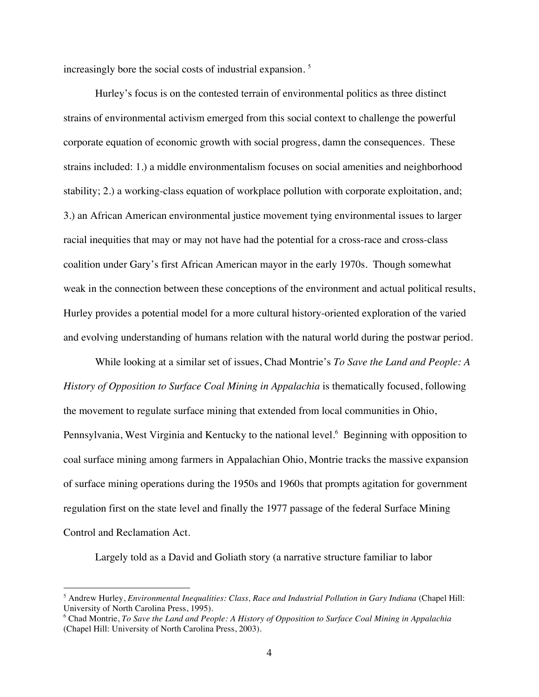increasingly bore the social costs of industrial expansion. <sup>5</sup>

Hurley's focus is on the contested terrain of environmental politics as three distinct strains of environmental activism emerged from this social context to challenge the powerful corporate equation of economic growth with social progress, damn the consequences. These strains included: 1.) a middle environmentalism focuses on social amenities and neighborhood stability; 2.) a working-class equation of workplace pollution with corporate exploitation, and; 3.) an African American environmental justice movement tying environmental issues to larger racial inequities that may or may not have had the potential for a cross-race and cross-class coalition under Gary's first African American mayor in the early 1970s. Though somewhat weak in the connection between these conceptions of the environment and actual political results, Hurley provides a potential model for a more cultural history-oriented exploration of the varied and evolving understanding of humans relation with the natural world during the postwar period.

While looking at a similar set of issues, Chad Montrie's *To Save the Land and People: A History of Opposition to Surface Coal Mining in Appalachia* is thematically focused, following the movement to regulate surface mining that extended from local communities in Ohio, Pennsylvania, West Virginia and Kentucky to the national level.<sup>6</sup> Beginning with opposition to coal surface mining among farmers in Appalachian Ohio, Montrie tracks the massive expansion of surface mining operations during the 1950s and 1960s that prompts agitation for government regulation first on the state level and finally the 1977 passage of the federal Surface Mining Control and Reclamation Act.

Largely told as a David and Goliath story (a narrative structure familiar to labor

 <sup>5</sup> Andrew Hurley, *Environmental Inequalities: Class, Race and Industrial Pollution in Gary Indiana* (Chapel Hill: University of North Carolina Press, 1995).

<sup>6</sup> Chad Montrie, *To Save the Land and People: A History of Opposition to Surface Coal Mining in Appalachia* (Chapel Hill: University of North Carolina Press, 2003).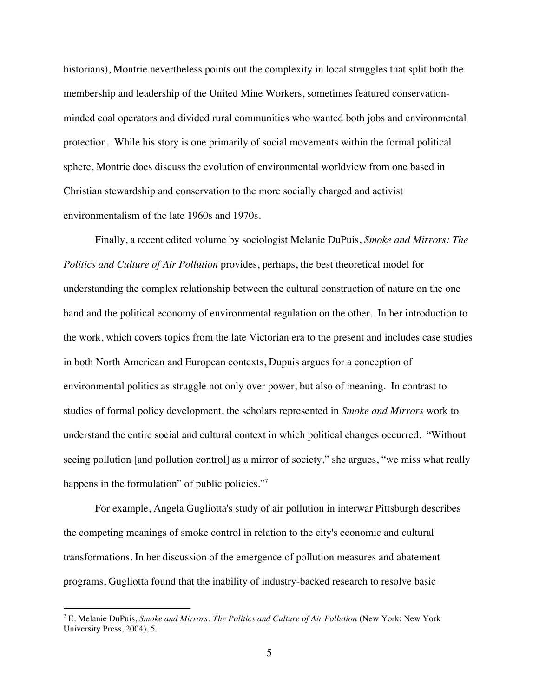historians), Montrie nevertheless points out the complexity in local struggles that split both the membership and leadership of the United Mine Workers, sometimes featured conservationminded coal operators and divided rural communities who wanted both jobs and environmental protection. While his story is one primarily of social movements within the formal political sphere, Montrie does discuss the evolution of environmental worldview from one based in Christian stewardship and conservation to the more socially charged and activist environmentalism of the late 1960s and 1970s.

Finally, a recent edited volume by sociologist Melanie DuPuis, *Smoke and Mirrors: The Politics and Culture of Air Pollution* provides, perhaps, the best theoretical model for understanding the complex relationship between the cultural construction of nature on the one hand and the political economy of environmental regulation on the other. In her introduction to the work, which covers topics from the late Victorian era to the present and includes case studies in both North American and European contexts, Dupuis argues for a conception of environmental politics as struggle not only over power, but also of meaning. In contrast to studies of formal policy development, the scholars represented in *Smoke and Mirrors* work to understand the entire social and cultural context in which political changes occurred. "Without seeing pollution [and pollution control] as a mirror of society," she argues, "we miss what really happens in the formulation" of public policies."7

For example, Angela Gugliotta's study of air pollution in interwar Pittsburgh describes the competing meanings of smoke control in relation to the city's economic and cultural transformations. In her discussion of the emergence of pollution measures and abatement programs, Gugliotta found that the inability of industry-backed research to resolve basic

 <sup>7</sup> E. Melanie DuPuis, *Smoke and Mirrors: The Politics and Culture of Air Pollution* (New York: New York University Press, 2004), 5.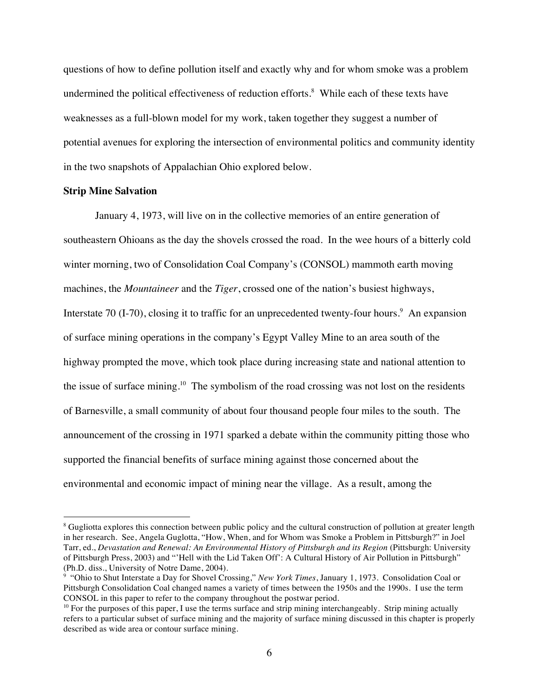questions of how to define pollution itself and exactly why and for whom smoke was a problem undermined the political effectiveness of reduction efforts.<sup>8</sup> While each of these texts have weaknesses as a full-blown model for my work, taken together they suggest a number of potential avenues for exploring the intersection of environmental politics and community identity in the two snapshots of Appalachian Ohio explored below.

### **Strip Mine Salvation**

January 4, 1973, will live on in the collective memories of an entire generation of southeastern Ohioans as the day the shovels crossed the road. In the wee hours of a bitterly cold winter morning, two of Consolidation Coal Company's (CONSOL) mammoth earth moving machines, the *Mountaineer* and the *Tiger*, crossed one of the nation's busiest highways, Interstate 70 (I-70), closing it to traffic for an unprecedented twenty-four hours.<sup>9</sup> An expansion of surface mining operations in the company's Egypt Valley Mine to an area south of the highway prompted the move, which took place during increasing state and national attention to the issue of surface mining.<sup>10</sup> The symbolism of the road crossing was not lost on the residents of Barnesville, a small community of about four thousand people four miles to the south. The announcement of the crossing in 1971 sparked a debate within the community pitting those who supported the financial benefits of surface mining against those concerned about the environmental and economic impact of mining near the village. As a result, among the

 $\frac{1}{8}$ <sup>8</sup> Gugliotta explores this connection between public policy and the cultural construction of pollution at greater length in her research. See, Angela Guglotta, "How, When, and for Whom was Smoke a Problem in Pittsburgh?" in Joel Tarr, ed., *Devastation and Renewal: An Environmental History of Pittsburgh and its Region* (Pittsburgh: University of Pittsburgh Press, 2003) and "'Hell with the Lid Taken Off': A Cultural History of Air Pollution in Pittsburgh" (Ph.D. diss., University of Notre Dame, 2004).

<sup>&</sup>lt;sup>9</sup> "Ohio to Shut Interstate a Day for Shovel Crossing," *New York Times*, January 1, 1973. Consolidation Coal or Pittsburgh Consolidation Coal changed names a variety of times between the 1950s and the 1990s. I use the term CONSOL in this paper to refer to the company throughout the postwar period.

 $10$  For the purposes of this paper, I use the terms surface and strip mining interchangeably. Strip mining actually refers to a particular subset of surface mining and the majority of surface mining discussed in this chapter is properly described as wide area or contour surface mining.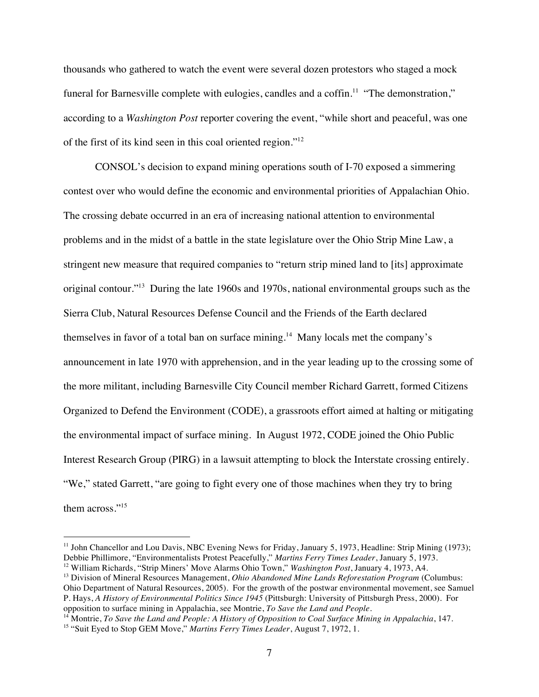thousands who gathered to watch the event were several dozen protestors who staged a mock funeral for Barnesville complete with eulogies, candles and a coffin.<sup>11</sup> "The demonstration," according to a *Washington Post* reporter covering the event, "while short and peaceful, was one of the first of its kind seen in this coal oriented region."12

CONSOL's decision to expand mining operations south of I-70 exposed a simmering contest over who would define the economic and environmental priorities of Appalachian Ohio. The crossing debate occurred in an era of increasing national attention to environmental problems and in the midst of a battle in the state legislature over the Ohio Strip Mine Law, a stringent new measure that required companies to "return strip mined land to [its] approximate original contour."13 During the late 1960s and 1970s, national environmental groups such as the Sierra Club, Natural Resources Defense Council and the Friends of the Earth declared themselves in favor of a total ban on surface mining.<sup>14</sup> Many locals met the company's announcement in late 1970 with apprehension, and in the year leading up to the crossing some of the more militant, including Barnesville City Council member Richard Garrett, formed Citizens Organized to Defend the Environment (CODE), a grassroots effort aimed at halting or mitigating the environmental impact of surface mining. In August 1972, CODE joined the Ohio Public Interest Research Group (PIRG) in a lawsuit attempting to block the Interstate crossing entirely. "We," stated Garrett, "are going to fight every one of those machines when they try to bring them across."<sup>15</sup>

12 William Richards, "Strip Miners' Move Alarms Ohio Town," *Washington Post*, January 4, 1973, A4. 13 Division of Mineral Resources Management, *Ohio Abandoned Mine Lands Reforestation Program* (Columbus: Ohio Department of Natural Resources, 2005). For the growth of the postwar environmental movement, see Samuel P. Hays, *A History of Environmental Politics Since 1945* (Pittsburgh: University of Pittsburgh Press, 2000). For opposition to surface mining in Appalachia, see Montrie, *To Save the Land and People.*

<sup>14</sup> Montrie, *To Save the Land and People: A History of Opposition to Coal Surface Mining in Appalachia*, 147.

<sup>&</sup>lt;sup>11</sup> John Chancellor and Lou Davis, NBC Evening News for Friday, January 5, 1973, Headline: Strip Mining (1973); Debbie Phillimore, "Environmentalists Protest Peacefully," *Martins Ferry Times Leader*, January 5, 1973.

<sup>15 &</sup>quot;Suit Eyed to Stop GEM Move," *Martins Ferry Times Leader*, August 7, 1972, 1.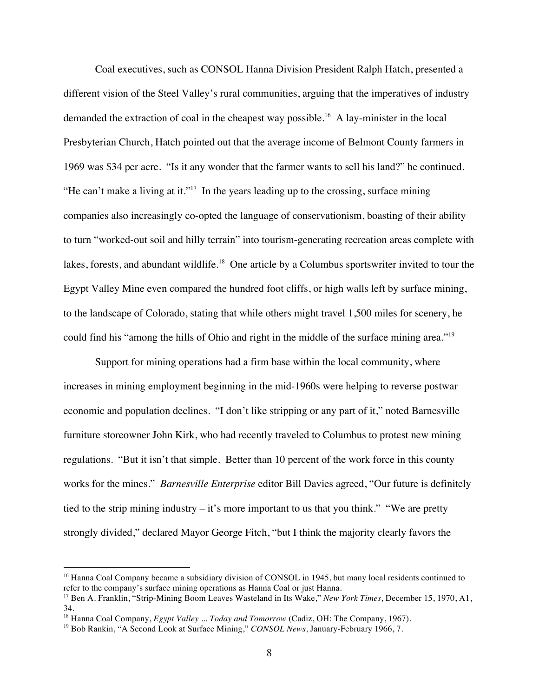Coal executives, such as CONSOL Hanna Division President Ralph Hatch, presented a different vision of the Steel Valley's rural communities, arguing that the imperatives of industry demanded the extraction of coal in the cheapest way possible.<sup>16</sup> A lay-minister in the local Presbyterian Church, Hatch pointed out that the average income of Belmont County farmers in 1969 was \$34 per acre. "Is it any wonder that the farmer wants to sell his land?" he continued. "He can't make a living at it."<sup>17</sup> In the years leading up to the crossing, surface mining companies also increasingly co-opted the language of conservationism, boasting of their ability to turn "worked-out soil and hilly terrain" into tourism-generating recreation areas complete with lakes, forests, and abundant wildlife.<sup>18</sup> One article by a Columbus sportswriter invited to tour the Egypt Valley Mine even compared the hundred foot cliffs, or high walls left by surface mining, to the landscape of Colorado, stating that while others might travel 1,500 miles for scenery, he could find his "among the hills of Ohio and right in the middle of the surface mining area."<sup>19</sup>

Support for mining operations had a firm base within the local community, where increases in mining employment beginning in the mid-1960s were helping to reverse postwar economic and population declines. "I don't like stripping or any part of it," noted Barnesville furniture storeowner John Kirk, who had recently traveled to Columbus to protest new mining regulations. "But it isn't that simple. Better than 10 percent of the work force in this county works for the mines." *Barnesville Enterprise* editor Bill Davies agreed, "Our future is definitely tied to the strip mining industry – it's more important to us that you think." "We are pretty strongly divided," declared Mayor George Fitch, "but I think the majority clearly favors the

<sup>&</sup>lt;sup>16</sup> Hanna Coal Company became a subsidiary division of CONSOL in 1945, but many local residents continued to refer to the company's surface mining operations as Hanna Coal or just Hanna.

<sup>17</sup> Ben A. Franklin, "Strip-Mining Boom Leaves Wasteland in Its Wake," *New York Times*, December 15, 1970, A1, 34.

<sup>18</sup> Hanna Coal Company, *Egypt Valley* ... *Today and Tomorrow* (Cadiz, OH: The Company, 1967).

<sup>19</sup> Bob Rankin, "A Second Look at Surface Mining," *CONSOL News*, January-February 1966, 7.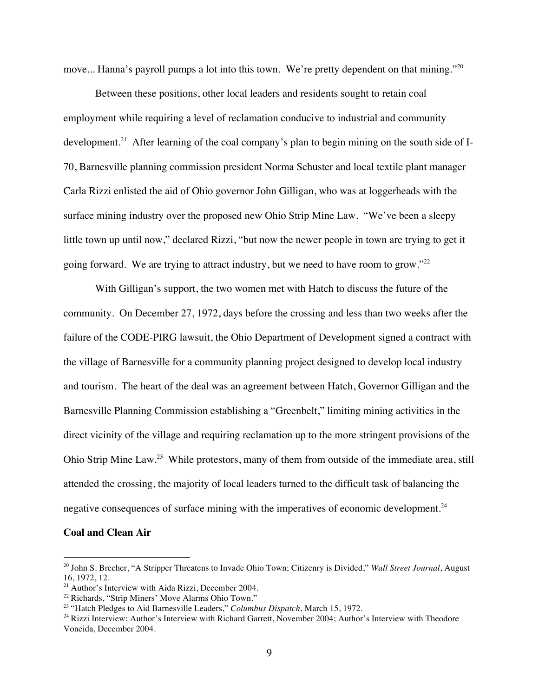move... Hanna's payroll pumps a lot into this town. We're pretty dependent on that mining."<sup>20</sup>

Between these positions, other local leaders and residents sought to retain coal employment while requiring a level of reclamation conducive to industrial and community development.<sup>21</sup> After learning of the coal company's plan to begin mining on the south side of I-70, Barnesville planning commission president Norma Schuster and local textile plant manager Carla Rizzi enlisted the aid of Ohio governor John Gilligan, who was at loggerheads with the surface mining industry over the proposed new Ohio Strip Mine Law. "We've been a sleepy little town up until now," declared Rizzi, "but now the newer people in town are trying to get it going forward. We are trying to attract industry, but we need to have room to grow."22

With Gilligan's support, the two women met with Hatch to discuss the future of the community. On December 27, 1972, days before the crossing and less than two weeks after the failure of the CODE-PIRG lawsuit, the Ohio Department of Development signed a contract with the village of Barnesville for a community planning project designed to develop local industry and tourism. The heart of the deal was an agreement between Hatch, Governor Gilligan and the Barnesville Planning Commission establishing a "Greenbelt," limiting mining activities in the direct vicinity of the village and requiring reclamation up to the more stringent provisions of the Ohio Strip Mine Law.23 While protestors, many of them from outside of the immediate area, still attended the crossing, the majority of local leaders turned to the difficult task of balancing the negative consequences of surface mining with the imperatives of economic development.<sup>24</sup>

#### **Coal and Clean Air**

 <sup>20</sup> John S. Brecher, "A Stripper Threatens to Invade Ohio Town; Citizenry is Divided," *Wall Street Journal*, August 16, 1972, 12.

<sup>&</sup>lt;sup>21</sup> Author's Interview with Aida Rizzi, December 2004.<br><sup>22</sup> Richards, "Strip Miners' Move Alarms Ohio Town."

<sup>&</sup>lt;sup>23</sup> "Hatch Pledges to Aid Barnesville Leaders," *Columbus Dispatch*, March 15, 1972.<br><sup>24</sup> Rizzi Interview; Author's Interview with Richard Garrett, November 2004; Author's Interview with Theodore Voneida, December 2004.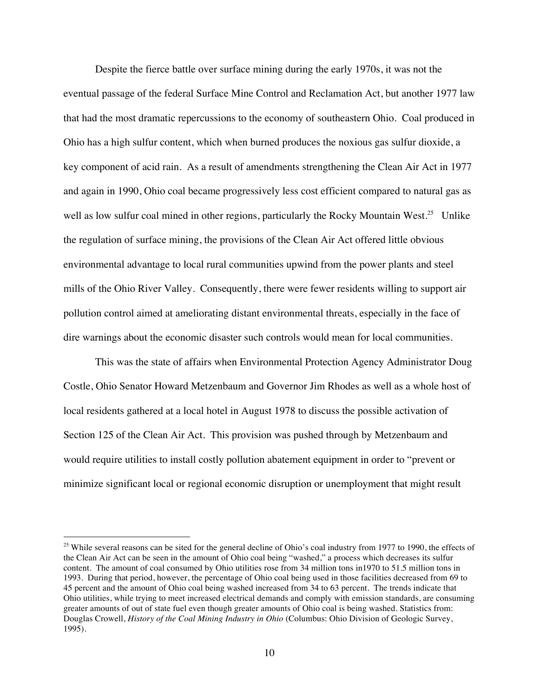Despite the fierce battle over surface mining during the early 1970s, it was not the eventual passage of the federal Surface Mine Control and Reclamation Act, but another 1977 law that had the most dramatic repercussions to the economy of southeastern Ohio. Coal produced in Ohio has a high sulfur content, which when burned produces the noxious gas sulfur dioxide, a key component of acid rain. As a result of amendments strengthening the Clean Air Act in 1977 and again in 1990, Ohio coal became progressively less cost efficient compared to natural gas as well as low sulfur coal mined in other regions, particularly the Rocky Mountain West.<sup>25</sup> Unlike the regulation of surface mining, the provisions of the Clean Air Act offered little obvious environmental advantage to local rural communities upwind from the power plants and steel mills of the Ohio River Valley. Consequently, there were fewer residents willing to support air pollution control aimed at ameliorating distant environmental threats, especially in the face of dire warnings about the economic disaster such controls would mean for local communities.

This was the state of affairs when Environmental Protection Agency Administrator Doug Costle, Ohio Senator Howard Metzenbaum and Governor Jim Rhodes as well as a whole host of local residents gathered at a local hotel in August 1978 to discuss the possible activation of Section 125 of the Clean Air Act. This provision was pushed through by Metzenbaum and would require utilities to install costly pollution abatement equipment in order to "prevent or minimize significant local or regional economic disruption or unemployment that might result

 $25$  While several reasons can be sited for the general decline of Ohio's coal industry from 1977 to 1990, the effects of the Clean Air Act can be seen in the amount of Ohio coal being "washed," a process which decreases its sulfur content. The amount of coal consumed by Ohio utilities rose from 34 million tons in1970 to 51.5 million tons in 1993. During that period, however, the percentage of Ohio coal being used in those facilities decreased from 69 to 45 percent and the amount of Ohio coal being washed increased from 34 to 63 percent. The trends indicate that Ohio utilities, while trying to meet increased electrical demands and comply with emission standards, are consuming greater amounts of out of state fuel even though greater amounts of Ohio coal is being washed. Statistics from: Douglas Crowell, *History of the Coal Mining Industry in Ohio* (Columbus: Ohio Division of Geologic Survey, 1995).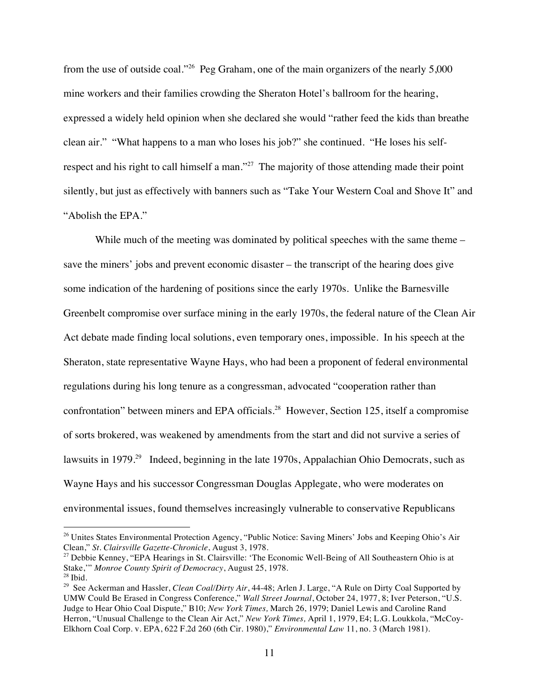from the use of outside coal."26 Peg Graham, one of the main organizers of the nearly 5,000 mine workers and their families crowding the Sheraton Hotel's ballroom for the hearing, expressed a widely held opinion when she declared she would "rather feed the kids than breathe clean air." "What happens to a man who loses his job?" she continued. "He loses his selfrespect and his right to call himself a man."<sup>27</sup> The majority of those attending made their point silently, but just as effectively with banners such as "Take Your Western Coal and Shove It" and "Abolish the EPA."

While much of the meeting was dominated by political speeches with the same theme – save the miners' jobs and prevent economic disaster – the transcript of the hearing does give some indication of the hardening of positions since the early 1970s. Unlike the Barnesville Greenbelt compromise over surface mining in the early 1970s, the federal nature of the Clean Air Act debate made finding local solutions, even temporary ones, impossible. In his speech at the Sheraton, state representative Wayne Hays, who had been a proponent of federal environmental regulations during his long tenure as a congressman, advocated "cooperation rather than confrontation" between miners and EPA officials.<sup>28</sup> However, Section 125, itself a compromise of sorts brokered, was weakened by amendments from the start and did not survive a series of lawsuits in 1979.<sup>29</sup> Indeed, beginning in the late 1970s, Appalachian Ohio Democrats, such as Wayne Hays and his successor Congressman Douglas Applegate, who were moderates on environmental issues, found themselves increasingly vulnerable to conservative Republicans

<sup>&</sup>lt;sup>26</sup> Unites States Environmental Protection Agency, "Public Notice: Saving Miners' Jobs and Keeping Ohio's Air Clean," *St. Clairsville Gazette-Chronicle*, August 3, 1978.

<sup>27</sup> Debbie Kenney, "EPA Hearings in St. Clairsville: 'The Economic Well-Being of All Southeastern Ohio is at Stake,'" *Monroe County Spirit of Democracy*, August 25, 1978.

 $28$  Ibid.

<sup>&</sup>lt;sup>29</sup> See Ackerman and Hassler, *Clean Coal/Dirty Air*, 44-48; Arlen J. Large, "A Rule on Dirty Coal Supported by UMW Could Be Erased in Congress Conference," *Wall Street Journal*, October 24, 1977, 8; Iver Peterson, "U.S. Judge to Hear Ohio Coal Dispute," B10; *New York Times,* March 26, 1979; Daniel Lewis and Caroline Rand Herron, "Unusual Challenge to the Clean Air Act," *New York Times,* April 1, 1979, E4; L.G. Loukkola, "McCoy-Elkhorn Coal Corp. v. EPA, 622 F.2d 260 (6th Cir. 1980)," *Environmental Law* 11, no. 3 (March 1981).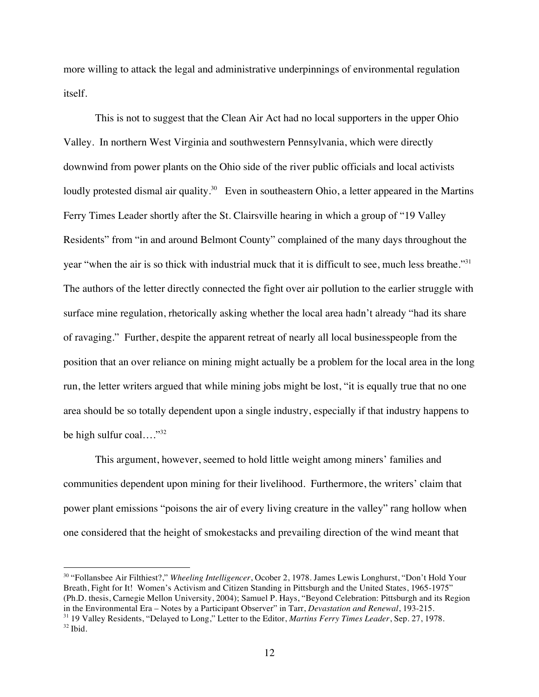more willing to attack the legal and administrative underpinnings of environmental regulation itself.

This is not to suggest that the Clean Air Act had no local supporters in the upper Ohio Valley. In northern West Virginia and southwestern Pennsylvania, which were directly downwind from power plants on the Ohio side of the river public officials and local activists loudly protested dismal air quality.<sup>30</sup> Even in southeastern Ohio, a letter appeared in the Martins Ferry Times Leader shortly after the St. Clairsville hearing in which a group of "19 Valley Residents" from "in and around Belmont County" complained of the many days throughout the year "when the air is so thick with industrial muck that it is difficult to see, much less breathe."<sup>31</sup> The authors of the letter directly connected the fight over air pollution to the earlier struggle with surface mine regulation, rhetorically asking whether the local area hadn't already "had its share of ravaging." Further, despite the apparent retreat of nearly all local businesspeople from the position that an over reliance on mining might actually be a problem for the local area in the long run, the letter writers argued that while mining jobs might be lost, "it is equally true that no one area should be so totally dependent upon a single industry, especially if that industry happens to be high sulfur coal...." $32$ 

This argument, however, seemed to hold little weight among miners' families and communities dependent upon mining for their livelihood. Furthermore, the writers' claim that power plant emissions "poisons the air of every living creature in the valley" rang hollow when one considered that the height of smokestacks and prevailing direction of the wind meant that

 30 "Follansbee Air Filthiest?," *Wheeling Intelligencer*, Ocober 2, 1978. James Lewis Longhurst, "Don't Hold Your Breath, Fight for It! Women's Activism and Citizen Standing in Pittsburgh and the United States, 1965-1975" (Ph.D. thesis, Carnegie Mellon University, 2004); Samuel P. Hays, "Beyond Celebration: Pittsburgh and its Region in the Environmental Era – Notes by a Participant Observer" in Tarr, *Devastation and Renewal*, 193-215.

<sup>31 19</sup> Valley Residents, "Delayed to Long," Letter to the Editor, *Martins Ferry Times Leader*, Sep. 27, 1978.  $32$  Ibid.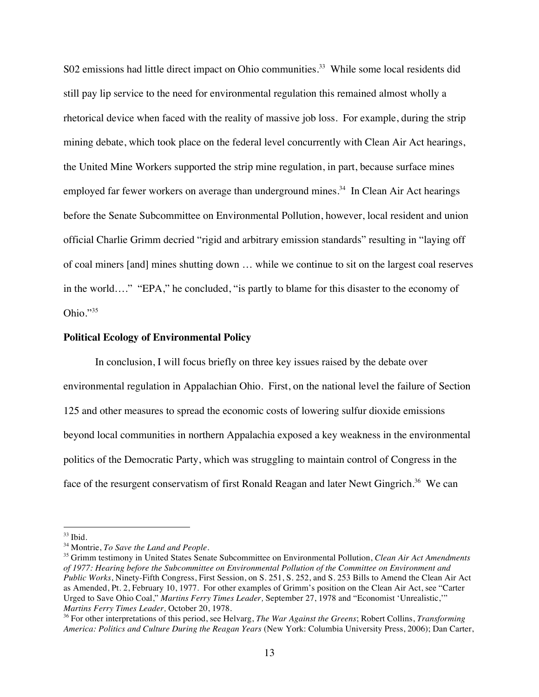S02 emissions had little direct impact on Ohio communities.<sup>33</sup> While some local residents did still pay lip service to the need for environmental regulation this remained almost wholly a rhetorical device when faced with the reality of massive job loss. For example, during the strip mining debate, which took place on the federal level concurrently with Clean Air Act hearings, the United Mine Workers supported the strip mine regulation, in part, because surface mines employed far fewer workers on average than underground mines.<sup>34</sup> In Clean Air Act hearings before the Senate Subcommittee on Environmental Pollution, however, local resident and union official Charlie Grimm decried "rigid and arbitrary emission standards" resulting in "laying off of coal miners [and] mines shutting down … while we continue to sit on the largest coal reserves in the world…." "EPA," he concluded, "is partly to blame for this disaster to the economy of Ohio."35

## **Political Ecology of Environmental Policy**

In conclusion, I will focus briefly on three key issues raised by the debate over environmental regulation in Appalachian Ohio. First, on the national level the failure of Section 125 and other measures to spread the economic costs of lowering sulfur dioxide emissions beyond local communities in northern Appalachia exposed a key weakness in the environmental politics of the Democratic Party, which was struggling to maintain control of Congress in the face of the resurgent conservatism of first Ronald Reagan and later Newt Gingrich.<sup>36</sup> We can

 $33$  Ibid.

<sup>34</sup> Montrie, *To Save the Land and People*.

<sup>35</sup> Grimm testimony in United States Senate Subcommittee on Environmental Pollution, *Clean Air Act Amendments of 1977: Hearing before the Subcommittee on Environmental Pollution of the Committee on Environment and Public Works*, Ninety-Fifth Congress, First Session, on S. 251, S. 252, and S. 253 Bills to Amend the Clean Air Act as Amended, Pt. 2, February 10, 1977. For other examples of Grimm's position on the Clean Air Act, see "Carter Urged to Save Ohio Coal," *Martins Ferry Times Leader,* September 27, 1978 and "Economist 'Unrealistic,'"

<sup>&</sup>lt;sup>36</sup> For other interpretations of this period, see Helvarg, *The War Against the Greens*; Robert Collins, *Transforming America: Politics and Culture During the Reagan Years* (New York: Columbia University Press, 2006); Dan Carter,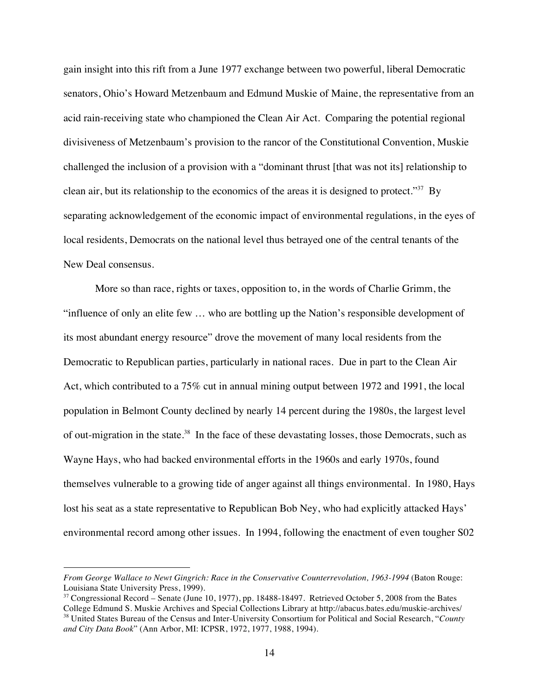gain insight into this rift from a June 1977 exchange between two powerful, liberal Democratic senators, Ohio's Howard Metzenbaum and Edmund Muskie of Maine, the representative from an acid rain-receiving state who championed the Clean Air Act. Comparing the potential regional divisiveness of Metzenbaum's provision to the rancor of the Constitutional Convention, Muskie challenged the inclusion of a provision with a "dominant thrust [that was not its] relationship to clean air, but its relationship to the economics of the areas it is designed to protect."<sup>37</sup> By separating acknowledgement of the economic impact of environmental regulations, in the eyes of local residents, Democrats on the national level thus betrayed one of the central tenants of the New Deal consensus.

More so than race, rights or taxes, opposition to, in the words of Charlie Grimm, the "influence of only an elite few … who are bottling up the Nation's responsible development of its most abundant energy resource" drove the movement of many local residents from the Democratic to Republican parties, particularly in national races. Due in part to the Clean Air Act, which contributed to a 75% cut in annual mining output between 1972 and 1991, the local population in Belmont County declined by nearly 14 percent during the 1980s, the largest level of out-migration in the state.<sup>38</sup> In the face of these devastating losses, those Democrats, such as Wayne Hays, who had backed environmental efforts in the 1960s and early 1970s, found themselves vulnerable to a growing tide of anger against all things environmental. In 1980, Hays lost his seat as a state representative to Republican Bob Ney, who had explicitly attacked Hays' environmental record among other issues. In 1994, following the enactment of even tougher S02

 $\overline{a}$ 

*From George Wallace to Newt Gingrich: Race in the Conservative Counterrevolution, 1963-1994* (Baton Rouge: Louisiana State University Press, 1999).

<sup>&</sup>lt;sup>37</sup> Congressional Record – Senate (June 10, 1977), pp. 18488-18497. Retrieved October 5, 2008 from the Bates College Edmund S. Muskie Archives and Special Collections Library at http://abacus.bates.edu/muskie-archives/ 38 United States Bureau of the Census and Inter-University Consortium for Political and Social Research, "*County and City Data Book*" (Ann Arbor, MI: ICPSR, 1972, 1977, 1988, 1994).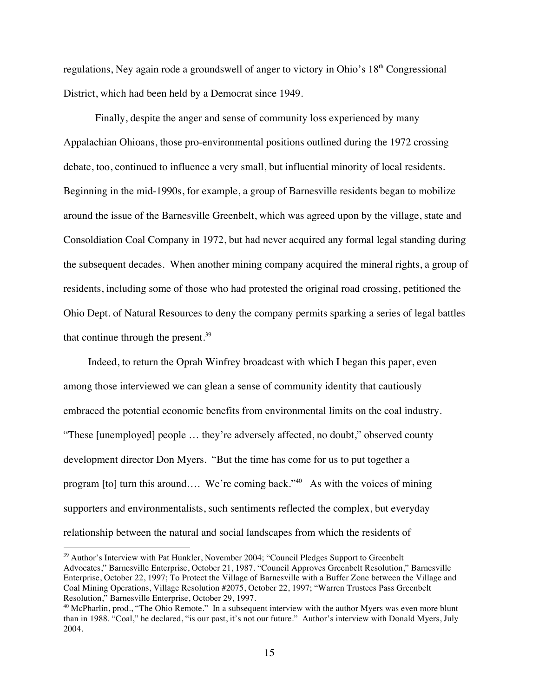regulations, Ney again rode a groundswell of anger to victory in Ohio's 18<sup>th</sup> Congressional District, which had been held by a Democrat since 1949.

Finally, despite the anger and sense of community loss experienced by many Appalachian Ohioans, those pro-environmental positions outlined during the 1972 crossing debate, too, continued to influence a very small, but influential minority of local residents. Beginning in the mid-1990s, for example, a group of Barnesville residents began to mobilize around the issue of the Barnesville Greenbelt, which was agreed upon by the village, state and Consoldiation Coal Company in 1972, but had never acquired any formal legal standing during the subsequent decades. When another mining company acquired the mineral rights, a group of residents, including some of those who had protested the original road crossing, petitioned the Ohio Dept. of Natural Resources to deny the company permits sparking a series of legal battles that continue through the present. $39$ 

Indeed, to return the Oprah Winfrey broadcast with which I began this paper, even among those interviewed we can glean a sense of community identity that cautiously embraced the potential economic benefits from environmental limits on the coal industry. "These [unemployed] people … they're adversely affected, no doubt," observed county development director Don Myers. "But the time has come for us to put together a program [to] turn this around…. We're coming back."<sup>40</sup> As with the voices of mining supporters and environmentalists, such sentiments reflected the complex, but everyday relationship between the natural and social landscapes from which the residents of

<sup>&</sup>lt;sup>39</sup> Author's Interview with Pat Hunkler, November 2004; "Council Pledges Support to Greenbelt Advocates," Barnesville Enterprise, October 21, 1987. "Council Approves Greenbelt Resolution," Barnesville Enterprise, October 22, 1997; To Protect the Village of Barnesville with a Buffer Zone between the Village and Coal Mining Operations, Village Resolution #2075, October 22, 1997; "Warren Trustees Pass Greenbelt Resolution," Barnesville Enterprise, October 29, 1997.

 $40$  McPharlin, prod., "The Ohio Remote." In a subsequent interview with the author Myers was even more blunt than in 1988. "Coal," he declared, "is our past, it's not our future." Author's interview with Donald Myers, July 2004.